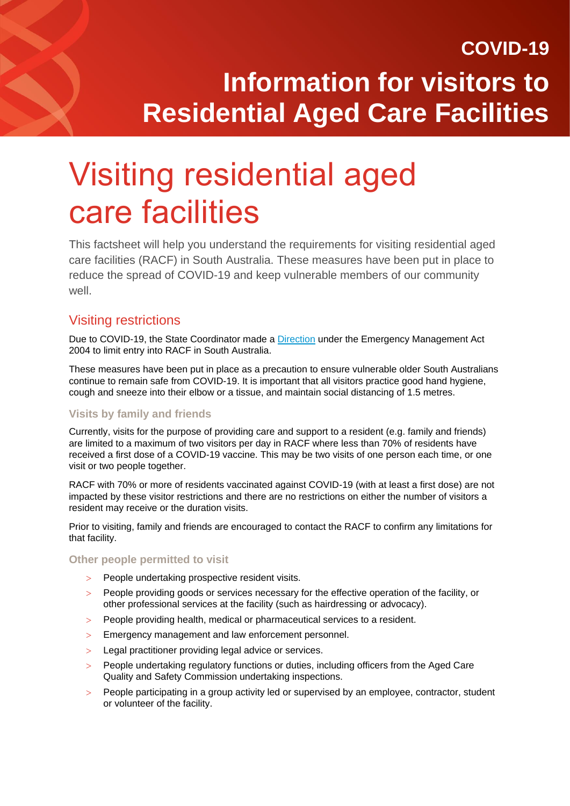# Visiting residential aged care facilities

This factsheet will help you understand the requirements for visiting residential aged care facilities (RACF) in South Australia. These measures have been put in place to reduce the spread of COVID-19 and keep vulnerable members of our community well.

### Visiting restrictions

Due to COVID-19, the State Coordinator made a [Direction](https://www.covid-19.sa.gov.au/emergency-declarations/aged-care) under the Emergency Management Act 2004 to limit entry into RACF in South Australia.

These measures have been put in place as a precaution to ensure vulnerable older South Australians continue to remain safe from COVID-19. It is important that all visitors practice good hand hygiene, cough and sneeze into their elbow or a tissue, and maintain social distancing of 1.5 metres.

### **Visits by family and friends**

Currently, visits for the purpose of providing care and support to a resident (e.g. family and friends) are limited to a maximum of two visitors per day in RACF where less than 70% of residents have received a first dose of a COVID-19 vaccine. This may be two visits of one person each time, or one visit or two people together.

RACF with 70% or more of residents vaccinated against COVID-19 (with at least a first dose) are not impacted by these visitor restrictions and there are no restrictions on either the number of visitors a resident may receive or the duration visits.

Prior to visiting, family and friends are encouraged to contact the RACF to confirm any limitations for that facility.

### **Other people permitted to visit**

- > People undertaking prospective resident visits.
- People providing goods or services necessary for the effective operation of the facility, or other professional services at the facility (such as hairdressing or advocacy).
- People providing health, medical or pharmaceutical services to a resident.
- Emergency management and law enforcement personnel.
- > Legal practitioner providing legal advice or services.
- People undertaking regulatory functions or duties, including officers from the Aged Care Quality and Safety Commission undertaking inspections.
- People participating in a group activity led or supervised by an employee, contractor, student or volunteer of the facility.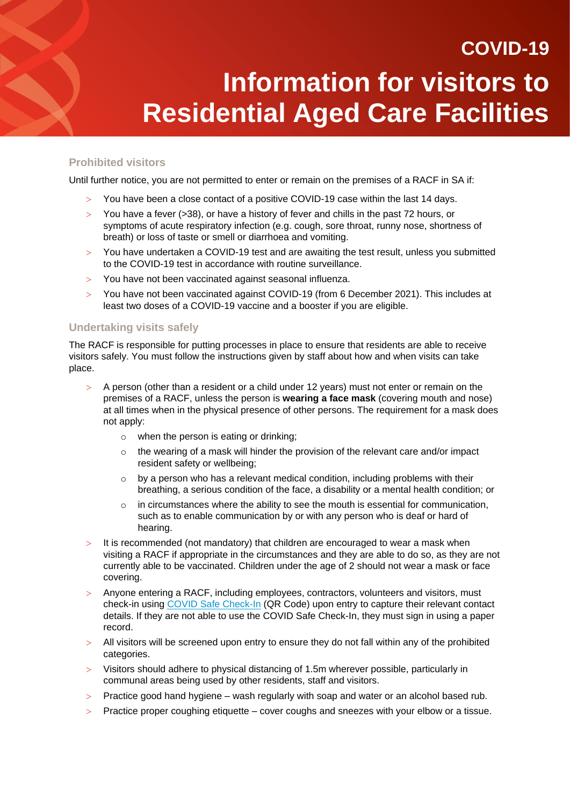### **Prohibited visitors**

Until further notice, you are not permitted to enter or remain on the premises of a RACF in SA if:

- $>$  You have been a close contact of a positive COVID-19 case within the last 14 days.
- You have a fever (>38), or have a history of fever and chills in the past 72 hours, or symptoms of acute respiratory infection (e.g. cough, sore throat, runny nose, shortness of breath) or loss of taste or smell or diarrhoea and vomiting.
- You have undertaken a COVID-19 test and are awaiting the test result, unless you submitted to the COVID-19 test in accordance with routine surveillance.
- You have not been vaccinated against seasonal influenza.
- You have not been vaccinated against COVID-19 (from 6 December 2021). This includes at least two doses of a COVID-19 vaccine and a booster if you are eligible.

#### **Undertaking visits safely**

The RACF is responsible for putting processes in place to ensure that residents are able to receive visitors safely. You must follow the instructions given by staff about how and when visits can take place.

- A person (other than a resident or a child under 12 years) must not enter or remain on the premises of a RACF, unless the person is **wearing a face mask** (covering mouth and nose) at all times when in the physical presence of other persons. The requirement for a mask does not apply:
	- o when the person is eating or drinking;
	- $\circ$  the wearing of a mask will hinder the provision of the relevant care and/or impact resident safety or wellbeing;
	- $\circ$  by a person who has a relevant medical condition, including problems with their breathing, a serious condition of the face, a disability or a mental health condition; or
	- $\circ$  in circumstances where the ability to see the mouth is essential for communication, such as to enable communication by or with any person who is deaf or hard of hearing.
- $>$  It is recommended (not mandatory) that children are encouraged to wear a mask when visiting a RACF if appropriate in the circumstances and they are able to do so, as they are not currently able to be vaccinated. Children under the age of 2 should not wear a mask or face covering.
- Anyone entering a RACF, including employees, contractors, volunteers and visitors, must check-in using [COVID Safe Check-In](https://www.covid-19.sa.gov.au/restrictions-and-responsibilities/covid-safe-check-in) (QR Code) upon entry to capture their relevant contact details. If they are not able to use the COVID Safe Check-In, they must sign in using a paper record.
- $>$  All visitors will be screened upon entry to ensure they do not fall within any of the prohibited categories.
- Visitors should adhere to physical distancing of 1.5m wherever possible, particularly in communal areas being used by other residents, staff and visitors.
- $>$  Practice good hand hygiene wash regularly with soap and water or an alcohol based rub.
- Practice proper coughing etiquette cover coughs and sneezes with your elbow or a tissue.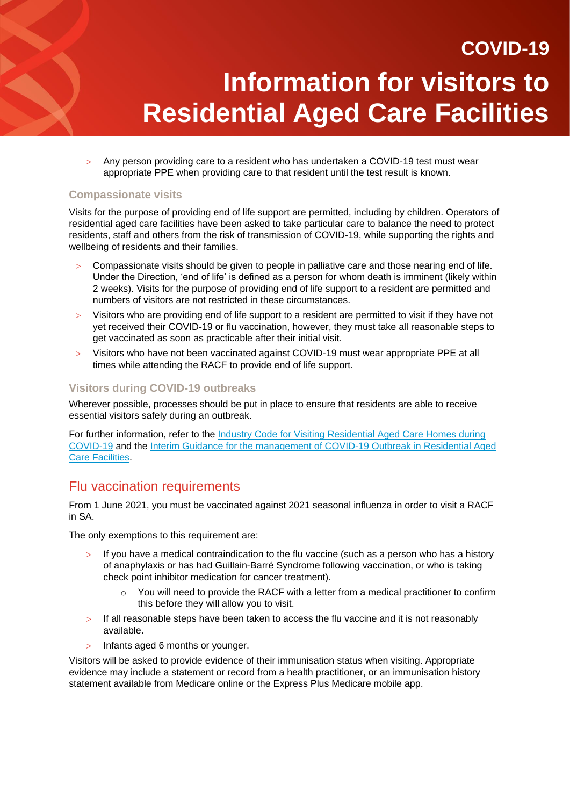Any person providing care to a resident who has undertaken a COVID-19 test must wear appropriate PPE when providing care to that resident until the test result is known.

#### **Compassionate visits**

Visits for the purpose of providing end of life support are permitted, including by children. Operators of residential aged care facilities have been asked to take particular care to balance the need to protect residents, staff and others from the risk of transmission of COVID-19, while supporting the rights and wellbeing of residents and their families.

- Compassionate visits should be given to people in palliative care and those nearing end of life. Under the Direction, 'end of life' is defined as a person for whom death is imminent (likely within 2 weeks). Visits for the purpose of providing end of life support to a resident are permitted and numbers of visitors are not restricted in these circumstances.
- Visitors who are providing end of life support to a resident are permitted to visit if they have not yet received their COVID-19 or flu vaccination, however, they must take all reasonable steps to get vaccinated as soon as practicable after their initial visit.
- Visitors who have not been vaccinated against COVID-19 must wear appropriate PPE at all times while attending the RACF to provide end of life support.

#### **Visitors during COVID-19 outbreaks**

Wherever possible, processes should be put in place to ensure that residents are able to receive essential visitors safely during an outbreak.

For further information, refer to the Industry Code for Visiting Residential Aged Care Homes during [COVID-19](https://www.cota.org.au/policy/aged-care-reform/agedcarevisitors/) and the [Interim Guidance for the management of COVID-19 Outbreak in Residential Aged](https://www.sahealth.sa.gov.au/wps/wcm/connect/eb833a9a-8fff-4ce2-a480-03ffb3425715/20220120+Residential+Aged+Care+Facilities+Plan+January+22.pdf?MOD=AJPERES&CACHEID=ROOTWORKSPACE-eb833a9a-8fff-4ce2-a480-03ffb3425715-nVS6UTm)  [Care Facilities.](https://www.sahealth.sa.gov.au/wps/wcm/connect/eb833a9a-8fff-4ce2-a480-03ffb3425715/20220120+Residential+Aged+Care+Facilities+Plan+January+22.pdf?MOD=AJPERES&CACHEID=ROOTWORKSPACE-eb833a9a-8fff-4ce2-a480-03ffb3425715-nVS6UTm)

### Flu vaccination requirements

From 1 June 2021, you must be vaccinated against 2021 seasonal influenza in order to visit a RACF in SA.

The only exemptions to this requirement are:

- $>$  If you have a medical contraindication to the flu vaccine (such as a person who has a history of anaphylaxis or has had Guillain-Barré Syndrome following vaccination, or who is taking check point inhibitor medication for cancer treatment).
	- $\circ$  You will need to provide the RACF with a letter from a medical practitioner to confirm this before they will allow you to visit.
- $>$  If all reasonable steps have been taken to access the flu vaccine and it is not reasonably available.
- $>$  Infants aged 6 months or younger.

Visitors will be asked to provide evidence of their immunisation status when visiting. Appropriate evidence may include a statement or record from a health practitioner, or an immunisation history statement available from Medicare online or the Express Plus Medicare mobile app.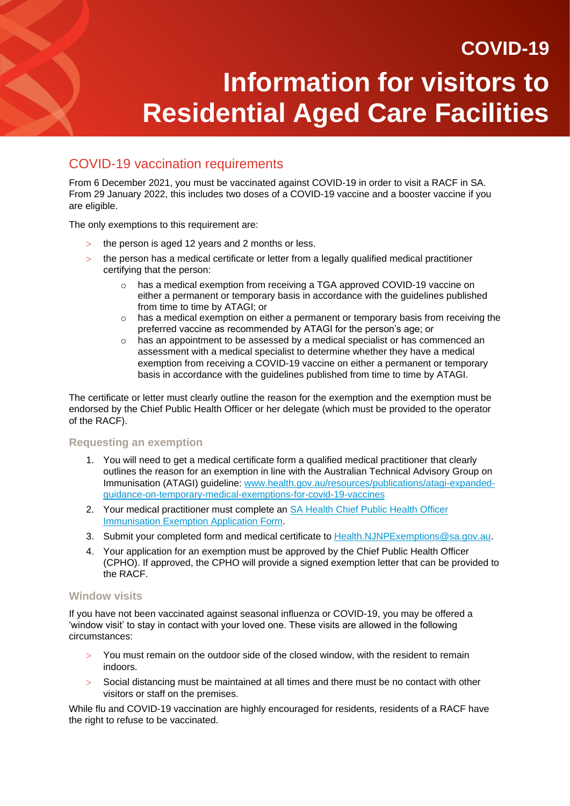# COVID-19 vaccination requirements

From 6 December 2021, you must be vaccinated against COVID-19 in order to visit a RACF in SA. From 29 January 2022, this includes two doses of a COVID-19 vaccine and a booster vaccine if you are eligible.

The only exemptions to this requirement are:

- $>$  the person is aged 12 years and 2 months or less.
- $>$  the person has a medical certificate or letter from a legally qualified medical practitioner certifying that the person:
	- has a medical exemption from receiving a TGA approved COVID-19 vaccine on either a permanent or temporary basis in accordance with the guidelines published from time to time by ATAGI; or
	- o has a medical exemption on either a permanent or temporary basis from receiving the preferred vaccine as recommended by ATAGI for the person's age; or
	- $\circ$  has an appointment to be assessed by a medical specialist or has commenced an assessment with a medical specialist to determine whether they have a medical exemption from receiving a COVID-19 vaccine on either a permanent or temporary basis in accordance with the guidelines published from time to time by ATAGI.

The certificate or letter must clearly outline the reason for the exemption and the exemption must be endorsed by the Chief Public Health Officer or her delegate (which must be provided to the operator of the RACF).

#### **Requesting an exemption**

- 1. You will need to get a medical certificate form a qualified medical practitioner that clearly outlines the reason for an exemption in line with the Australian Technical Advisory Group on Immunisation (ATAGI) guideline: [www.health.gov.au/resources/publications/atagi-expanded](http://www.health.gov.au/resources/publications/atagi-expanded-guidance-on-temporary-medical-exemptions-for-covid-19-vaccines)[guidance-on-temporary-medical-exemptions-for-covid-19-vaccines](http://www.health.gov.au/resources/publications/atagi-expanded-guidance-on-temporary-medical-exemptions-for-covid-19-vaccines)
- 2. Your medical practitioner must complete an **SA Health Chief Public Health Officer** [Immunisation Exemption Application Form.](https://www.covid-19.sa.gov.au/__data/assets/pdf_file/0004/482143/21022.29-COVID-immunisation-exemption-application-form-V2.pdf)
- 3. Submit your completed form and medical certificate to [Health.NJNPExemptions@sa.gov.au.](mailto:Health.NJNPExemptions@sa.gov.au)
- 4. Your application for an exemption must be approved by the Chief Public Health Officer (CPHO). If approved, the CPHO will provide a signed exemption letter that can be provided to the RACF.

#### **Window visits**

If you have not been vaccinated against seasonal influenza or COVID-19, you may be offered a 'window visit' to stay in contact with your loved one. These visits are allowed in the following circumstances:

- You must remain on the outdoor side of the closed window, with the resident to remain indoors.
- $>$  Social distancing must be maintained at all times and there must be no contact with other visitors or staff on the premises.

While flu and COVID-19 vaccination are highly encouraged for residents, residents of a RACF have the right to refuse to be vaccinated.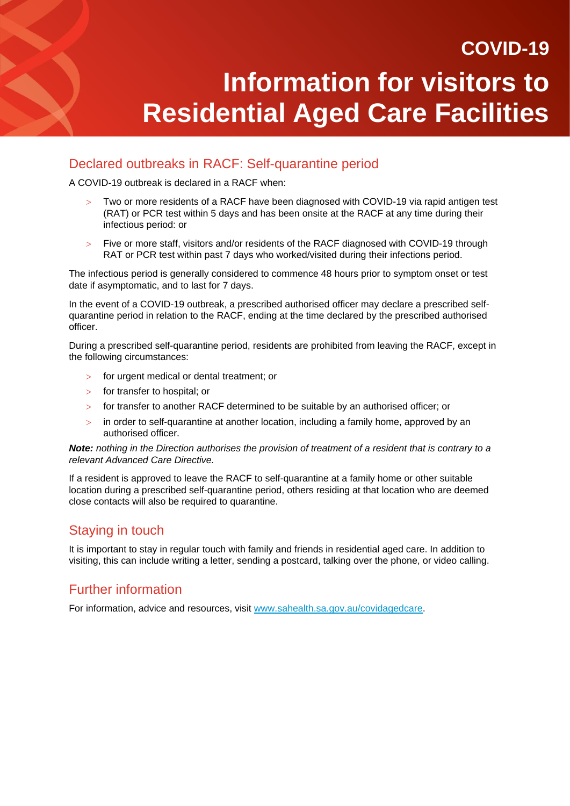### Declared outbreaks in RACF: Self-quarantine period

A COVID-19 outbreak is declared in a RACF when:

- Two or more residents of a RACF have been diagnosed with COVID-19 via rapid antigen test (RAT) or PCR test within 5 days and has been onsite at the RACF at any time during their infectious period: or
- Five or more staff, visitors and/or residents of the RACF diagnosed with COVID-19 through RAT or PCR test within past 7 days who worked/visited during their infections period.

The infectious period is generally considered to commence 48 hours prior to symptom onset or test date if asymptomatic, and to last for 7 days.

In the event of a COVID-19 outbreak, a prescribed authorised officer may declare a prescribed selfquarantine period in relation to the RACF, ending at the time declared by the prescribed authorised officer.

During a prescribed self-quarantine period, residents are prohibited from leaving the RACF, except in the following circumstances:

- for urgent medical or dental treatment; or
- for transfer to hospital; or
- $>$  for transfer to another RACF determined to be suitable by an authorised officer; or
- in order to self-quarantine at another location, including a family home, approved by an authorised officer.

#### *Note: nothing in the Direction authorises the provision of treatment of a resident that is contrary to a relevant Advanced Care Directive.*

If a resident is approved to leave the RACF to self-quarantine at a family home or other suitable location during a prescribed self-quarantine period, others residing at that location who are deemed close contacts will also be required to quarantine.

# Staying in touch

It is important to stay in regular touch with family and friends in residential aged care. In addition to visiting, this can include writing a letter, sending a postcard, talking over the phone, or video calling.

### Further information

For information, advice and resources, visit [www.sahealth.sa.gov.au/covidagedcare.](http://www.sahealth.sa.gov.au/covidagedcare)